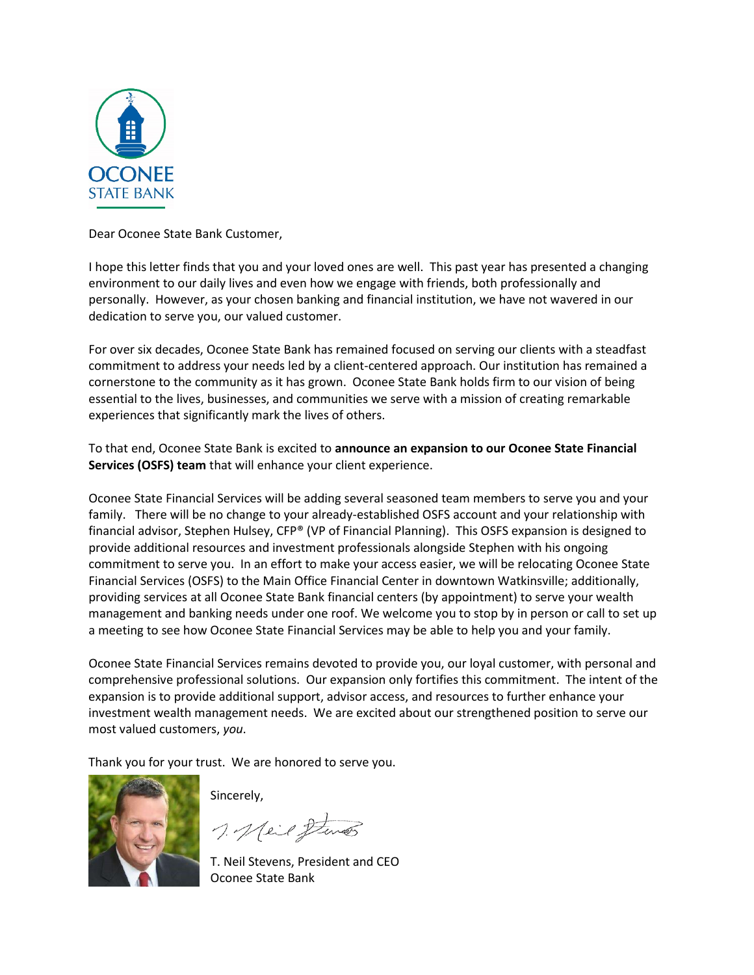

Dear Oconee State Bank Customer,

I hope this letter finds that you and your loved ones are well. This past year has presented a changing environment to our daily lives and even how we engage with friends, both professionally and personally. However, as your chosen banking and financial institution, we have not wavered in our dedication to serve you, our valued customer.

For over six decades, Oconee State Bank has remained focused on serving our clients with a steadfast commitment to address your needs led by a client-centered approach. Our institution has remained a cornerstone to the community as it has grown. Oconee State Bank holds firm to our vision of being essential to the lives, businesses, and communities we serve with a mission of creating remarkable experiences that significantly mark the lives of others.

To that end, Oconee State Bank is excited to **announce an expansion to our Oconee State Financial Services (OSFS) team** that will enhance your client experience.

Oconee State Financial Services will be adding several seasoned team members to serve you and your family. There will be no change to your already-established OSFS account and your relationship with financial advisor, Stephen Hulsey, CFP® (VP of Financial Planning). This OSFS expansion is designed to provide additional resources and investment professionals alongside Stephen with his ongoing commitment to serve you. In an effort to make your access easier, we will be relocating Oconee State Financial Services (OSFS) to the Main Office Financial Center in downtown Watkinsville; additionally, providing services at all Oconee State Bank financial centers (by appointment) to serve your wealth management and banking needs under one roof. We welcome you to stop by in person or call to set up a meeting to see how Oconee State Financial Services may be able to help you and your family.

Oconee State Financial Services remains devoted to provide you, our loyal customer, with personal and comprehensive professional solutions. Our expansion only fortifies this commitment. The intent of the expansion is to provide additional support, advisor access, and resources to further enhance your investment wealth management needs. We are excited about our strengthened position to serve our most valued customers, *you*.

Thank you for your trust. We are honored to serve you.



Sincerely,

1. Meil Stenes

T. Neil Stevens, President and CEO Oconee State Bank